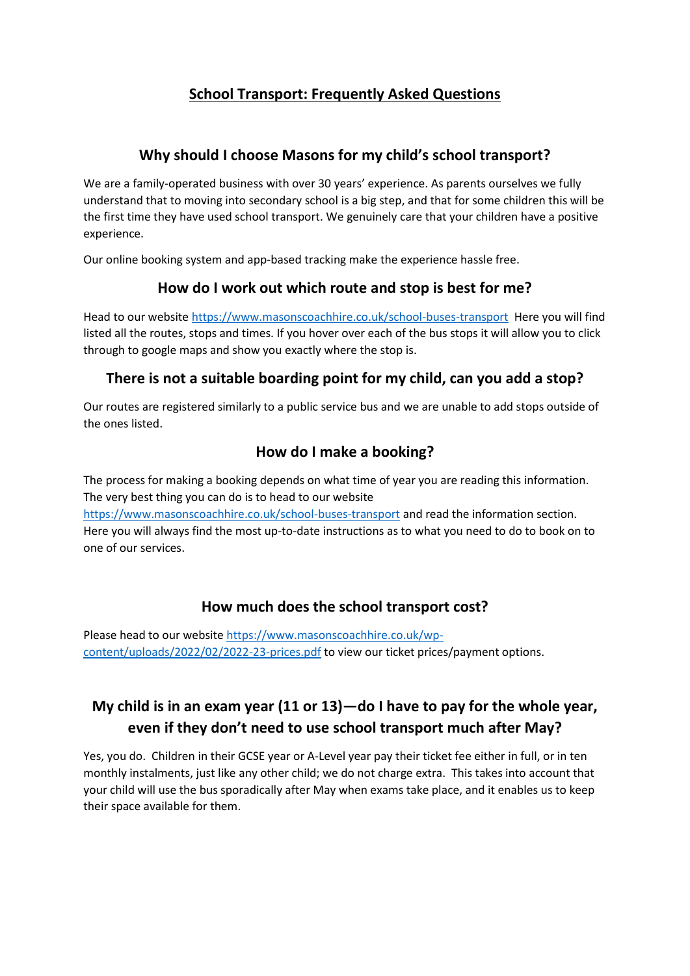# **School Transport: Frequently Asked Questions**

## **Why should I choose Masons for my child's school transport?**

We are a family-operated business with over 30 years' experience. As parents ourselves we fully understand that to moving into secondary school is a big step, and that for some children this will be the first time they have used school transport. We genuinely care that your children have a positive experience.

Our online booking system and app-based tracking make the experience hassle free.

## **How do I work out which route and stop is best for me?**

Head to our website<https://www.masonscoachhire.co.uk/school-buses-transport> Here you will find listed all the routes, stops and times. If you hover over each of the bus stops it will allow you to click through to google maps and show you exactly where the stop is.

## **There is not a suitable boarding point for my child, can you add a stop?**

Our routes are registered similarly to a public service bus and we are unable to add stops outside of the ones listed.

## **How do I make a booking?**

The process for making a booking depends on what time of year you are reading this information. The very best thing you can do is to head to our website

<https://www.masonscoachhire.co.uk/school-buses-transport> and read the information section. Here you will always find the most up-to-date instructions as to what you need to do to book on to one of our services.

## **How much does the school transport cost?**

Please head to our websit[e https://www.masonscoachhire.co.uk/wp](https://www.masonscoachhire.co.uk/wp-content/uploads/2022/02/2022-23-prices.pdf)[content/uploads/2022/02/2022-23-prices.pdf](https://www.masonscoachhire.co.uk/wp-content/uploads/2022/02/2022-23-prices.pdf) to view our ticket prices/payment options.

# **My child is in an exam year (11 or 13)—do I have to pay for the whole year, even if they don't need to use school transport much after May?**

Yes, you do. Children in their GCSE year or A-Level year pay their ticket fee either in full, or in ten monthly instalments, just like any other child; we do not charge extra. This takes into account that your child will use the bus sporadically after May when exams take place, and it enables us to keep their space available for them.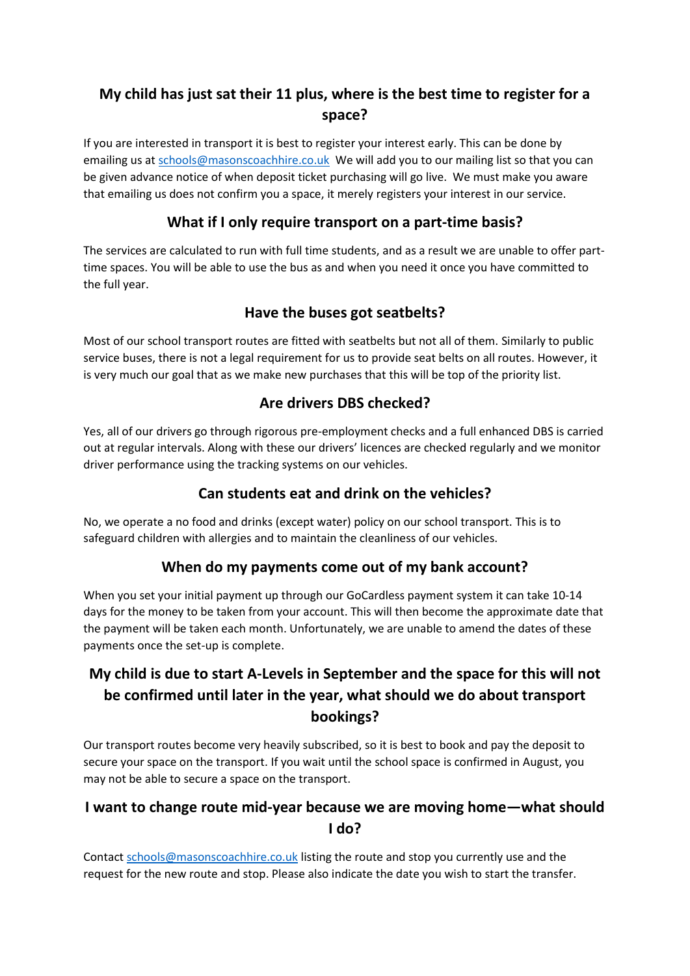# **My child has just sat their 11 plus, where is the best time to register for a space?**

If you are interested in transport it is best to register your interest early. This can be done by emailing us a[t schools@masonscoachhire.co.uk](mailto:schools@masonscoachhire.co.uk) We will add you to our mailing list so that you can be given advance notice of when deposit ticket purchasing will go live. We must make you aware that emailing us does not confirm you a space, it merely registers your interest in our service.

## **What if I only require transport on a part-time basis?**

The services are calculated to run with full time students, and as a result we are unable to offer parttime spaces. You will be able to use the bus as and when you need it once you have committed to the full year.

## **Have the buses got seatbelts?**

Most of our school transport routes are fitted with seatbelts but not all of them. Similarly to public service buses, there is not a legal requirement for us to provide seat belts on all routes. However, it is very much our goal that as we make new purchases that this will be top of the priority list.

## **Are drivers DBS checked?**

Yes, all of our drivers go through rigorous pre-employment checks and a full enhanced DBS is carried out at regular intervals. Along with these our drivers' licences are checked regularly and we monitor driver performance using the tracking systems on our vehicles.

## **Can students eat and drink on the vehicles?**

No, we operate a no food and drinks (except water) policy on our school transport. This is to safeguard children with allergies and to maintain the cleanliness of our vehicles.

## **When do my payments come out of my bank account?**

When you set your initial payment up through our GoCardless payment system it can take 10-14 days for the money to be taken from your account. This will then become the approximate date that the payment will be taken each month. Unfortunately, we are unable to amend the dates of these payments once the set-up is complete.

# **My child is due to start A-Levels in September and the space for this will not be confirmed until later in the year, what should we do about transport bookings?**

Our transport routes become very heavily subscribed, so it is best to book and pay the deposit to secure your space on the transport. If you wait until the school space is confirmed in August, you may not be able to secure a space on the transport.

## **I want to change route mid-year because we are moving home—what should I do?**

Contact [schools@masonscoachhire.co.uk](mailto:schools@masonscoachhire.co.uk) listing the route and stop you currently use and the request for the new route and stop. Please also indicate the date you wish to start the transfer.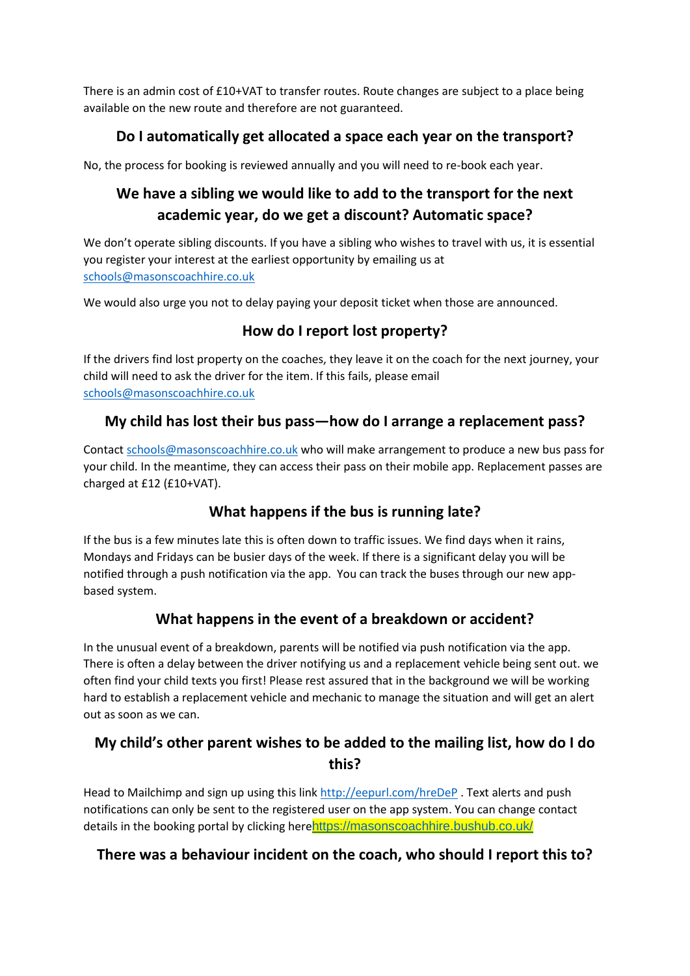There is an admin cost of £10+VAT to transfer routes. Route changes are subject to a place being available on the new route and therefore are not guaranteed.

## **Do I automatically get allocated a space each year on the transport?**

No, the process for booking is reviewed annually and you will need to re-book each year.

# **We have a sibling we would like to add to the transport for the next academic year, do we get a discount? Automatic space?**

We don't operate sibling discounts. If you have a sibling who wishes to travel with us, it is essential you register your interest at the earliest opportunity by emailing us at [schools@masonscoachhire.co.uk](mailto:schools@masonscoachhire.co.uk)

We would also urge you not to delay paying your deposit ticket when those are announced.

## **How do I report lost property?**

If the drivers find lost property on the coaches, they leave it on the coach for the next journey, your child will need to ask the driver for the item. If this fails, please email [schools@masonscoachhire.co.uk](mailto:schools@masonscoachhire.co.uk)

## **My child has lost their bus pass—how do I arrange a replacement pass?**

Contact [schools@masonscoachhire.co.uk](mailto:schools@masonscoachhire.co.uk) who will make arrangement to produce a new bus pass for your child. In the meantime, they can access their pass on their mobile app. Replacement passes are charged at £12 (£10+VAT).

## **What happens if the bus is running late?**

If the bus is a few minutes late this is often down to traffic issues. We find days when it rains, Mondays and Fridays can be busier days of the week. If there is a significant delay you will be notified through a push notification via the app. You can track the buses through our new appbased system.

## **What happens in the event of a breakdown or accident?**

In the unusual event of a breakdown, parents will be notified via push notification via the app. There is often a delay between the driver notifying us and a replacement vehicle being sent out. we often find your child texts you first! Please rest assured that in the background we will be working hard to establish a replacement vehicle and mechanic to manage the situation and will get an alert out as soon as we can.

## **My child's other parent wishes to be added to the mailing list, how do I do this?**

Head to Mailchimp and sign up using this link<http://eepurl.com/hreDeP> . Text alerts and push notifications can only be sent to the registered user on the app system. You can change contact details in the booking portal by clicking here<https://masonscoachhire.bushub.co.uk/>

#### **There was a behaviour incident on the coach, who should I report this to?**